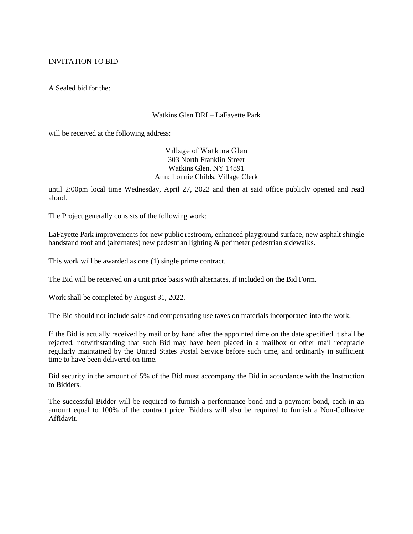## INVITATION TO BID

A Sealed bid for the:

## Watkins Glen DRI – LaFayette Park

will be received at the following address:

Village of Watkins Glen 303 North Franklin Street Watkins Glen, NY 14891 Attn: Lonnie Childs, Village Clerk

until 2:00pm local time Wednesday, April 27, 2022 and then at said office publicly opened and read aloud.

The Project generally consists of the following work:

LaFayette Park improvements for new public restroom, enhanced playground surface, new asphalt shingle bandstand roof and (alternates) new pedestrian lighting & perimeter pedestrian sidewalks.

This work will be awarded as one (1) single prime contract.

The Bid will be received on a unit price basis with alternates, if included on the Bid Form.

Work shall be completed by August 31, 2022.

The Bid should not include sales and compensating use taxes on materials incorporated into the work.

If the Bid is actually received by mail or by hand after the appointed time on the date specified it shall be rejected, notwithstanding that such Bid may have been placed in a mailbox or other mail receptacle regularly maintained by the United States Postal Service before such time, and ordinarily in sufficient time to have been delivered on time.

Bid security in the amount of 5% of the Bid must accompany the Bid in accordance with the Instruction to Bidders.

The successful Bidder will be required to furnish a performance bond and a payment bond, each in an amount equal to 100% of the contract price. Bidders will also be required to furnish a Non-Collusive Affidavit.